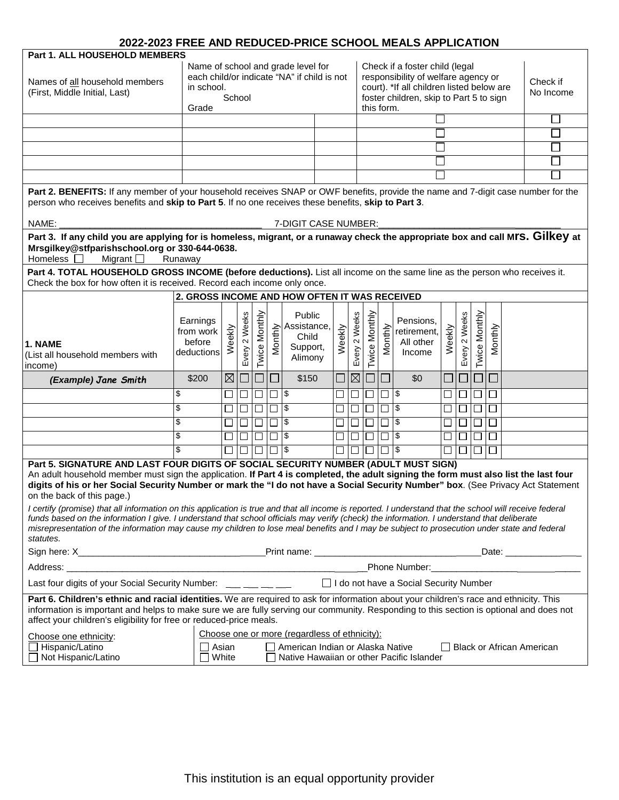| LULL LULU I ILLL AND ILLDUULD I INUL UUIIUUL MI<br>Part 1. ALL HOUSEHOLD MEMBERS                                                                                                                                                                                                                                                                                                                                                                                                                                                                                                                                                                                                                                                                                                                                                                      |                                               |                                                                                                                                     |               |               |         |                                                       |  |                                                                                                                                                                             |               |                      |                                  |                                                 |        |               |                       |         |  |  |  |
|-------------------------------------------------------------------------------------------------------------------------------------------------------------------------------------------------------------------------------------------------------------------------------------------------------------------------------------------------------------------------------------------------------------------------------------------------------------------------------------------------------------------------------------------------------------------------------------------------------------------------------------------------------------------------------------------------------------------------------------------------------------------------------------------------------------------------------------------------------|-----------------------------------------------|-------------------------------------------------------------------------------------------------------------------------------------|---------------|---------------|---------|-------------------------------------------------------|--|-----------------------------------------------------------------------------------------------------------------------------------------------------------------------------|---------------|----------------------|----------------------------------|-------------------------------------------------|--------|---------------|-----------------------|---------|--|--|--|
| Names of all household members<br>(First, Middle Initial, Last)                                                                                                                                                                                                                                                                                                                                                                                                                                                                                                                                                                                                                                                                                                                                                                                       |                                               | Name of school and grade level for<br>each child/or indicate "NA" if child is not<br>in school.<br>School<br>Grade                  |               |               |         |                                                       |  | Check if a foster child (legal<br>responsibility of welfare agency or<br>court). *If all children listed below are<br>foster children, skip to Part 5 to sign<br>this form. |               |                      |                                  |                                                 |        |               | Check if<br>No Income |         |  |  |  |
|                                                                                                                                                                                                                                                                                                                                                                                                                                                                                                                                                                                                                                                                                                                                                                                                                                                       |                                               |                                                                                                                                     |               |               |         |                                                       |  |                                                                                                                                                                             |               |                      |                                  |                                                 |        |               |                       |         |  |  |  |
|                                                                                                                                                                                                                                                                                                                                                                                                                                                                                                                                                                                                                                                                                                                                                                                                                                                       |                                               |                                                                                                                                     |               |               |         |                                                       |  |                                                                                                                                                                             |               |                      |                                  |                                                 |        |               |                       |         |  |  |  |
|                                                                                                                                                                                                                                                                                                                                                                                                                                                                                                                                                                                                                                                                                                                                                                                                                                                       |                                               |                                                                                                                                     |               |               |         |                                                       |  |                                                                                                                                                                             |               |                      |                                  |                                                 |        |               |                       |         |  |  |  |
|                                                                                                                                                                                                                                                                                                                                                                                                                                                                                                                                                                                                                                                                                                                                                                                                                                                       |                                               |                                                                                                                                     |               |               |         |                                                       |  |                                                                                                                                                                             |               |                      |                                  |                                                 |        |               |                       |         |  |  |  |
|                                                                                                                                                                                                                                                                                                                                                                                                                                                                                                                                                                                                                                                                                                                                                                                                                                                       |                                               |                                                                                                                                     |               |               |         |                                                       |  |                                                                                                                                                                             |               |                      |                                  |                                                 |        |               |                       |         |  |  |  |
|                                                                                                                                                                                                                                                                                                                                                                                                                                                                                                                                                                                                                                                                                                                                                                                                                                                       |                                               |                                                                                                                                     |               |               |         |                                                       |  |                                                                                                                                                                             |               |                      |                                  |                                                 |        |               |                       |         |  |  |  |
| Part 2. BENEFITS: If any member of your household receives SNAP or OWF benefits, provide the name and 7-digit case number for the<br>person who receives benefits and skip to Part 5. If no one receives these benefits, skip to Part 3.                                                                                                                                                                                                                                                                                                                                                                                                                                                                                                                                                                                                              |                                               |                                                                                                                                     |               |               |         |                                                       |  |                                                                                                                                                                             |               |                      |                                  |                                                 |        |               |                       |         |  |  |  |
| NAME:<br>7-DIGIT CASE NUMBER:                                                                                                                                                                                                                                                                                                                                                                                                                                                                                                                                                                                                                                                                                                                                                                                                                         |                                               |                                                                                                                                     |               |               |         |                                                       |  |                                                                                                                                                                             |               |                      |                                  |                                                 |        |               |                       |         |  |  |  |
| Part 3. If any child you are applying for is homeless, migrant, or a runaway check the appropriate box and call MIS. Gilkey at<br>Mrsgilkey@stfparishschool.org or 330-644-0638.<br>Homeless $\square$<br>Migrant $\square$<br>Runaway                                                                                                                                                                                                                                                                                                                                                                                                                                                                                                                                                                                                                |                                               |                                                                                                                                     |               |               |         |                                                       |  |                                                                                                                                                                             |               |                      |                                  |                                                 |        |               |                       |         |  |  |  |
| Part 4. TOTAL HOUSEHOLD GROSS INCOME (before deductions). List all income on the same line as the person who receives it.<br>Check the box for how often it is received. Record each income only once.                                                                                                                                                                                                                                                                                                                                                                                                                                                                                                                                                                                                                                                |                                               |                                                                                                                                     |               |               |         |                                                       |  |                                                                                                                                                                             |               |                      |                                  |                                                 |        |               |                       |         |  |  |  |
|                                                                                                                                                                                                                                                                                                                                                                                                                                                                                                                                                                                                                                                                                                                                                                                                                                                       | 2. GROSS INCOME AND HOW OFTEN IT WAS RECEIVED |                                                                                                                                     |               |               |         |                                                       |  |                                                                                                                                                                             |               |                      |                                  |                                                 |        |               |                       |         |  |  |  |
| 1. NAME<br>(List all household members with<br>income)                                                                                                                                                                                                                                                                                                                                                                                                                                                                                                                                                                                                                                                                                                                                                                                                | Earnings<br>from work<br>before<br>deductions | Weekly                                                                                                                              | Every 2 Weeks | Twice Monthly | Monthly | Public<br>Assistance,<br>Child<br>Support,<br>Alimony |  | Weekly                                                                                                                                                                      | Every 2 Weeks | Twice Monthly        | Monthly                          | Pensions,<br>retirement.<br>All other<br>Income | Weekly | Every 2 Weeks | Twice Monthly         | Monthly |  |  |  |
| (Example) Jane Smith                                                                                                                                                                                                                                                                                                                                                                                                                                                                                                                                                                                                                                                                                                                                                                                                                                  | \$200                                         | $\boxtimes$                                                                                                                         |               |               |         | \$150                                                 |  | $\Box$                                                                                                                                                                      | $\boxtimes$   | $\Box\Box$           |                                  | \$0                                             |        |               |                       | $\Box$  |  |  |  |
|                                                                                                                                                                                                                                                                                                                                                                                                                                                                                                                                                                                                                                                                                                                                                                                                                                                       | \$                                            | $\Box$                                                                                                                              | $\Box$        | $\Box$        | $\Box$  |                                                       |  | □                                                                                                                                                                           | $\Box$        | $\Box$               | $\Box$ $\overline{\overline{s}}$ |                                                 | $\Box$ | $\Box$        | $\Box$                | $\Box$  |  |  |  |
|                                                                                                                                                                                                                                                                                                                                                                                                                                                                                                                                                                                                                                                                                                                                                                                                                                                       | \$                                            | $\Box$                                                                                                                              | □             | $\Box$        | $\Box$  | $\sqrt{3}$                                            |  | $\Box$                                                                                                                                                                      | $\Box$        | □                    | $\Box$ \$                        |                                                 |        |               | $\Box$                | $\Box$  |  |  |  |
|                                                                                                                                                                                                                                                                                                                                                                                                                                                                                                                                                                                                                                                                                                                                                                                                                                                       | \$                                            | $\Box$                                                                                                                              | $\Box$        | $\Box$        | $\Box$  | \$                                                    |  | $\Box$                                                                                                                                                                      | $\Box$        | □                    | $\Box$ \$                        |                                                 |        |               | $\Box$                | $\Box$  |  |  |  |
|                                                                                                                                                                                                                                                                                                                                                                                                                                                                                                                                                                                                                                                                                                                                                                                                                                                       | \$                                            | $\Box$                                                                                                                              | $\Box$        | $\Box$        | $\Box$  | $\sqrt{3}$                                            |  | $\Box$                                                                                                                                                                      |               | $\Box$ $\Box$ $\Box$ |                                  |                                                 | $\Box$ | $\Box$        | $\Box$                | $\Box$  |  |  |  |
|                                                                                                                                                                                                                                                                                                                                                                                                                                                                                                                                                                                                                                                                                                                                                                                                                                                       | \$                                            | $\Box$                                                                                                                              | $\Box$        | □             | □       | $\sqrt{3}$                                            |  | $\Box$ 1                                                                                                                                                                    |               | 0 IO -               | $\overline{\Box}$ is             |                                                 |        |               | $\Box$                | $\Box$  |  |  |  |
| Part 5. SIGNATURE AND LAST FOUR DIGITS OF SOCIAL SECURITY NUMBER (ADULT MUST SIGN)<br>An adult household member must sign the application. If Part 4 is completed, the adult signing the form must also list the last four<br>digits of his or her Social Security Number or mark the "I do not have a Social Security Number" box. (See Privacy Act Statement<br>on the back of this page.)<br>I certify (promise) that all information on this application is true and that all income is reported. I understand that the school will receive federal<br>funds based on the information I give. I understand that school officials may verify (check) the information. I understand that deliberate<br>misrepresentation of the information may cause my children to lose meal benefits and I may be subject to prosecution under state and federal |                                               |                                                                                                                                     |               |               |         |                                                       |  |                                                                                                                                                                             |               |                      |                                  |                                                 |        |               |                       |         |  |  |  |
| statutes.                                                                                                                                                                                                                                                                                                                                                                                                                                                                                                                                                                                                                                                                                                                                                                                                                                             |                                               |                                                                                                                                     |               |               |         |                                                       |  |                                                                                                                                                                             |               |                      |                                  |                                                 |        |               |                       |         |  |  |  |
| Phone Number:<br>Address:                                                                                                                                                                                                                                                                                                                                                                                                                                                                                                                                                                                                                                                                                                                                                                                                                             |                                               |                                                                                                                                     |               |               |         |                                                       |  |                                                                                                                                                                             |               |                      |                                  |                                                 |        |               |                       |         |  |  |  |
| Last four digits of your Social Security Number: ___ __ __ _<br>□ I do not have a Social Security Number                                                                                                                                                                                                                                                                                                                                                                                                                                                                                                                                                                                                                                                                                                                                              |                                               |                                                                                                                                     |               |               |         |                                                       |  |                                                                                                                                                                             |               |                      |                                  |                                                 |        |               |                       |         |  |  |  |
| Part 6. Children's ethnic and racial identities. We are required to ask for information about your children's race and ethnicity. This<br>information is important and helps to make sure we are fully serving our community. Responding to this section is optional and does not<br>affect your children's eligibility for free or reduced-price meals.                                                                                                                                                                                                                                                                                                                                                                                                                                                                                              |                                               |                                                                                                                                     |               |               |         |                                                       |  |                                                                                                                                                                             |               |                      |                                  |                                                 |        |               |                       |         |  |  |  |
| Choose one ethnicity:                                                                                                                                                                                                                                                                                                                                                                                                                                                                                                                                                                                                                                                                                                                                                                                                                                 | Choose one or more (regardless of ethnicity): |                                                                                                                                     |               |               |         |                                                       |  |                                                                                                                                                                             |               |                      |                                  |                                                 |        |               |                       |         |  |  |  |
| □ Hispanic/Latino<br>□ Not Hispanic/Latino                                                                                                                                                                                                                                                                                                                                                                                                                                                                                                                                                                                                                                                                                                                                                                                                            |                                               | Asian<br>American Indian or Alaska Native<br><b>Black or African American</b><br>White<br>Native Hawaiian or other Pacific Islander |               |               |         |                                                       |  |                                                                                                                                                                             |               |                      |                                  |                                                 |        |               |                       |         |  |  |  |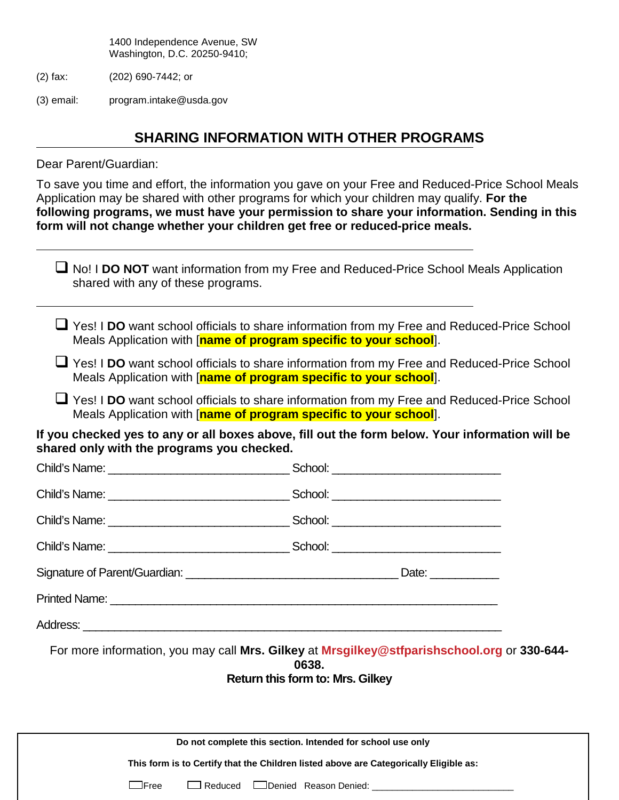1400 Independence Avenue, SW Washington, D.C. 20250-9410;

- (2) fax: (202) 690-7442; or
- (3) email: program.intake@usda.gov

## **SHARING INFORMATION WITH OTHER PROGRAMS**

Dear Parent/Guardian:

To save you time and effort, the information you gave on your Free and Reduced-Price School Meals Application may be shared with other programs for which your children may qualify. **For the following programs, we must have your permission to share your information. Sending in this form will not change whether your children get free or reduced-price meals.**

| shared with any of these programs.                                | □ No! I DO NOT want information from my Free and Reduced-Price School Meals Application                                                             |
|-------------------------------------------------------------------|-----------------------------------------------------------------------------------------------------------------------------------------------------|
| Meals Application with [name of program specific to your school]. | U Yes! I DO want school officials to share information from my Free and Reduced-Price School                                                        |
| Meals Application with [name of program specific to your school]. | ⊔ Yes! I DO want school officials to share information from my Free and Reduced-Price School                                                        |
| Meals Application with [name of program specific to your school]. | ■ Yes! I DO want school officials to share information from my Free and Reduced-Price School                                                        |
| shared only with the programs you checked.                        | If you checked yes to any or all boxes above, fill out the form below. Your information will be                                                     |
|                                                                   |                                                                                                                                                     |
|                                                                   |                                                                                                                                                     |
|                                                                   |                                                                                                                                                     |
|                                                                   |                                                                                                                                                     |
|                                                                   |                                                                                                                                                     |
|                                                                   |                                                                                                                                                     |
|                                                                   |                                                                                                                                                     |
|                                                                   | For more information, you may call Mrs. Gilkey at Mrsgilkey@stfparishschool.org or 330-644-<br>0638.<br>Return this form to: Mrs. Gilkey            |
|                                                                   | Do not complete this section. Intended for school use only<br>This form is to Certify that the Children listed above are Categorically Eligible as: |
| $\Box$ Free<br>$\Box$ Reduced                                     | Denied Reason Denied:                                                                                                                               |